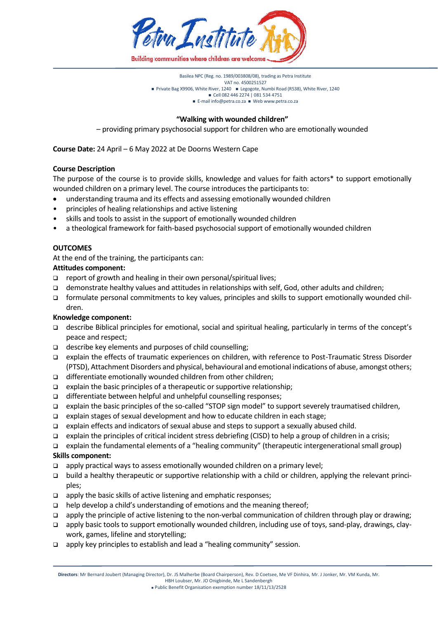

Basilea NPC (Reg. no. 1989/003808/08), trading as Petra Institute VAT no. 4500251527 ■ Private Bag X9906, White River, 1240 ■ Legogote, Numbi Road (R538), White River, 1240 Cell 082 446 2274 | 081 534 4751 ■ E-mai[l info@petra.co.za](mailto:info@petra.co.za) ■ We[b www.petra.co.za](http://www.petra.co.za/)

#### **"Walking with wounded children"**

– providing primary psychosocial support for children who are emotionally wounded

**Course Date:** 24 April – 6 May 2022 at De Doorns Western Cape

#### **Course Description**

The purpose of the course is to provide skills, knowledge and values for faith actors\* to support emotionally wounded children on a primary level. The course introduces the participants to:

- understanding trauma and its effects and assessing emotionally wounded children
- principles of healing relationships and active listening
- skills and tools to assist in the support of emotionally wounded children
- a theological framework for faith-based psychosocial support of emotionally wounded children

#### **OUTCOMES**

At the end of the training, the participants can:

## **Attitudes component:**

- $\Box$  report of growth and healing in their own personal/spiritual lives;
- demonstrate healthy values and attitudes in relationships with self, God, other adults and children;
- formulate personal commitments to key values, principles and skills to support emotionally wounded children.

## **Knowledge component:**

- describe Biblical principles for emotional, social and spiritual healing, particularly in terms of the concept's peace and respect;
- describe key elements and purposes of child counselling;
- explain the effects of traumatic experiences on children, with reference to Post-Traumatic Stress Disorder (PTSD), Attachment Disorders and physical, behavioural and emotional indications of abuse, amongst others;
- $\Box$  differentiate emotionally wounded children from other children;
- $\Box$  explain the basic principles of a therapeutic or supportive relationship;
- $\Box$  differentiate between helpful and unhelpful counselling responses;
- explain the basic principles of the so-called "STOP sign model" to support severely traumatised children,
- explain stages of sexual development and how to educate children in each stage;
- explain effects and indicators of sexual abuse and steps to support a sexually abused child.
- explain the principles of critical incident stress debriefing (CISD) to help a group of children in a crisis;
- explain the fundamental elements of a "healing community" (therapeutic intergenerational small group)

## **Skills component:**

- $\Box$  apply practical ways to assess emotionally wounded children on a primary level;
- build a healthy therapeutic or supportive relationship with a child or children, applying the relevant principles;
- $\Box$  apply the basic skills of active listening and emphatic responses;
- $\Box$  help develop a child's understanding of emotions and the meaning thereof;
- apply the principle of active listening to the non-verbal communication of children through play or drawing;
- apply basic tools to support emotionally wounded children, including use of toys, sand-play, drawings, claywork, games, lifeline and storytelling;
- $\Box$  apply key principles to establish and lead a "healing community" session.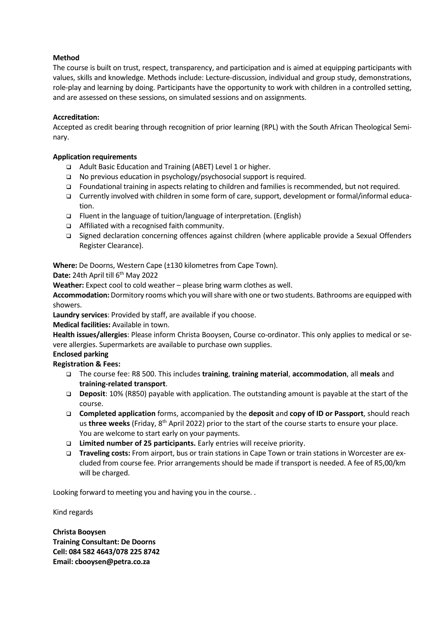# **Method**

The course is built on trust, respect, transparency, and participation and is aimed at equipping participants with values, skills and knowledge. Methods include: Lecture-discussion, individual and group study, demonstrations, role-play and learning by doing. Participants have the opportunity to work with children in a controlled setting, and are assessed on these sessions, on simulated sessions and on assignments.

## **Accreditation:**

Accepted as credit bearing through recognition of prior learning (RPL) with the South African Theological Seminary.

## **Application requirements**

- □ Adult Basic Education and Training (ABET) Level 1 or higher.
- $\Box$  No previous education in psychology/psychosocial support is required.
- Foundational training in aspects relating to children and families is recommended, but not required.
- Currently involved with children in some form of care, support, development or formal/informal education.
- $\Box$  Fluent in the language of tuition/language of interpretation. (English)
- □ Affiliated with a recognised faith community.
- Signed declaration concerning offences against children (where applicable provide a Sexual Offenders Register Clearance).

**Where:** De Doorns, Western Cape (±130 kilometres from Cape Town).

Date: 24th April till 6<sup>th</sup> May 2022

**Weather:** Expect cool to cold weather – please bring warm clothes as well.

**Accommodation:** Dormitory rooms which you will share with one or two students. Bathrooms are equipped with showers.

**Laundry services**: Provided by staff, are available if you choose.

**Medical facilities:** Available in town.

**Health issues/allergies**: Please inform Christa Booysen, Course co-ordinator. This only applies to medical or severe allergies. Supermarkets are available to purchase own supplies.

# **Enclosed parking**

**Registration & Fees:**

- The course fee: R8 500. This includes **training**, **training material**, **accommodation**, all **meals** and **training-related transport**.
- **Deposit**: 10% (R850) payable with application. The outstanding amount is payable at the start of the course.
- **Completed application** forms, accompanied by the **deposit** and **copy of ID or Passport**, should reach us three weeks (Friday, 8<sup>th</sup> April 2022) prior to the start of the course starts to ensure your place. You are welcome to start early on your payments.
- **Limited number of 25 participants.** Early entries will receive priority.
- **Traveling costs:** From airport, bus or train stations in Cape Town or train stations in Worcester are excluded from course fee. Prior arrangements should be made if transport is needed. A fee of R5,00/km will be charged.

Looking forward to meeting you and having you in the course. .

Kind regards

**Christa Booysen Training Consultant: De Doorns Cell: 084 582 4643/078 225 8742 Email: cbooysen@petra.co.za**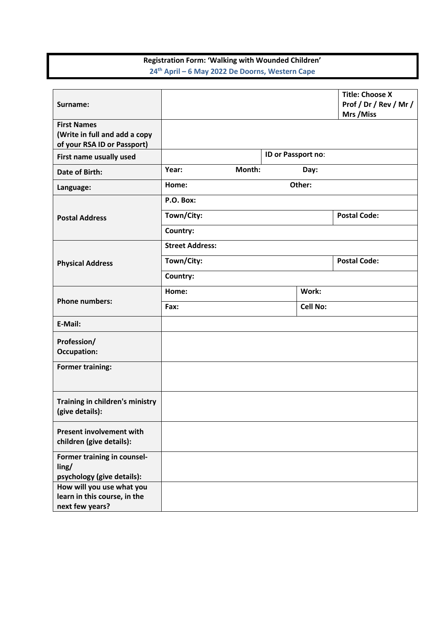# **Registration Form: 'Walking with Wounded Children' 24th April – 6 May 2022 De Doorns, Western Cape**

| Surname:                                                                           |                         |        |                    |      | <b>Title: Choose X</b><br>Prof / Dr / Rev / Mr /<br>Mrs / Miss |  |
|------------------------------------------------------------------------------------|-------------------------|--------|--------------------|------|----------------------------------------------------------------|--|
| <b>First Names</b><br>(Write in full and add a copy<br>of your RSA ID or Passport) |                         |        |                    |      |                                                                |  |
| First name usually used                                                            |                         |        | ID or Passport no: |      |                                                                |  |
| Date of Birth:                                                                     | Year:                   | Month: |                    | Day: |                                                                |  |
| Language:                                                                          | Other:<br>Home:         |        |                    |      |                                                                |  |
| <b>Postal Address</b>                                                              | P.O. Box:               |        |                    |      |                                                                |  |
|                                                                                    | Town/City:              |        |                    |      | <b>Postal Code:</b>                                            |  |
|                                                                                    | Country:                |        |                    |      |                                                                |  |
| <b>Physical Address</b>                                                            | <b>Street Address:</b>  |        |                    |      |                                                                |  |
|                                                                                    | Town/City:              |        |                    |      | <b>Postal Code:</b>                                            |  |
|                                                                                    | Country:                |        |                    |      |                                                                |  |
| <b>Phone numbers:</b>                                                              | Work:<br>Home:          |        |                    |      |                                                                |  |
|                                                                                    | <b>Cell No:</b><br>Fax: |        |                    |      |                                                                |  |
| E-Mail:                                                                            |                         |        |                    |      |                                                                |  |
| Profession/<br><b>Occupation:</b>                                                  |                         |        |                    |      |                                                                |  |
| <b>Former training:</b>                                                            |                         |        |                    |      |                                                                |  |
| Training in children's ministry<br>(give details):                                 |                         |        |                    |      |                                                                |  |
| <b>Present involvement with</b><br>children (give details):                        |                         |        |                    |      |                                                                |  |
| Former training in counsel-<br>ling/<br>psychology (give details):                 |                         |        |                    |      |                                                                |  |
| How will you use what you<br>learn in this course, in the<br>next few years?       |                         |        |                    |      |                                                                |  |